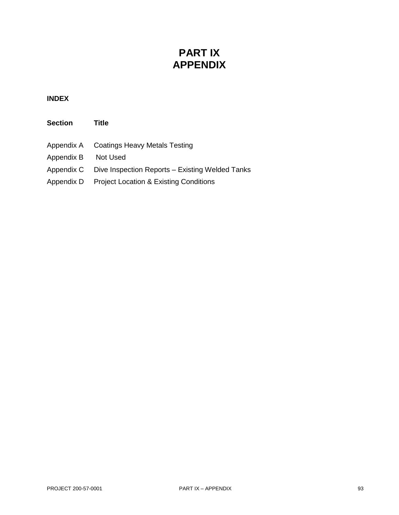### **PART IX APPENDIX**

#### **INDEX**

| <b>Section</b> | <b>Title</b>                                      |
|----------------|---------------------------------------------------|
| Appendix A     | <b>Coatings Heavy Metals Testing</b>              |
| Appendix B     | Not Used                                          |
| Appendix C     | Dive Inspection Reports - Existing Welded Tanks   |
| Appendix D     | <b>Project Location &amp; Existing Conditions</b> |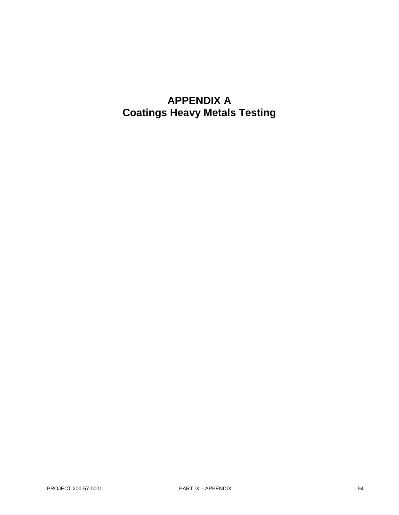### **APPENDIX A Coatings Heavy Metals Testing**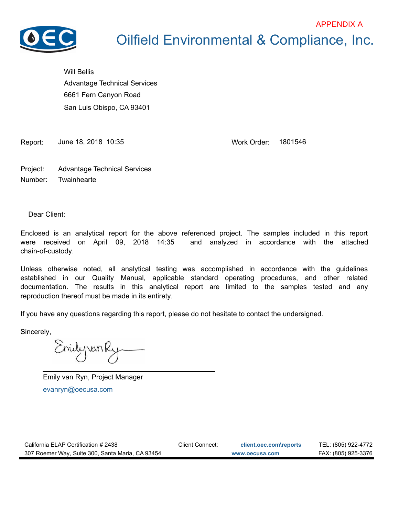

### Oilfield Environmental & Compliance, Inc. APPENDIX A

Will Bellis 6661 Fern Canyon Road San Luis Obispo, CA 93401 Advantage Technical Services

Report: June 18, 2018 10:35 Work Order: 1801546

Project: Advantage Technical Services Number: Twainhearte

Dear Client:

Enclosed is an analytical report for the above referenced project. The samples included in this report were received on April 09, 2018 14:35 and analyzed in accordance with the attached chain-of-custody.

Unless otherwise noted, all analytical testing was accomplished in accordance with the guidelines established in our Quality Manual, applicable standard operating procedures, and other related documentation. The results in this analytical report are limited to the samples tested and any reproduction thereof must be made in its entirety.

If you have any questions regarding this report, please do not hesitate to contact the undersigned.

Sincerely,

Enilyvan Ry

evanryn@oecusa.com Emily van Ryn, Project Manager

| California ELAP Certification # 2438             | Client Connect: | client.oec.com\reports | TEL: (805) 922-4772 |
|--------------------------------------------------|-----------------|------------------------|---------------------|
| 307 Roemer Way, Suite 300, Santa Maria, CA 93454 |                 | www.oecusa.com         | FAX: (805) 925-3376 |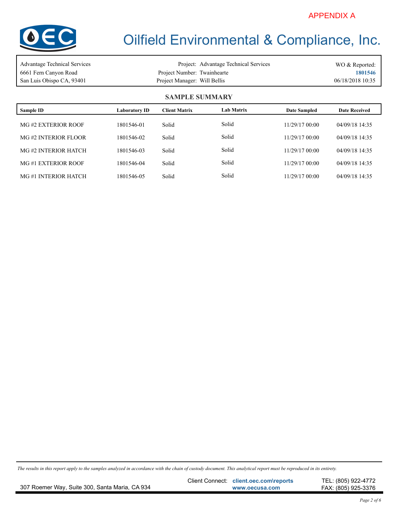

| Advantage Technical Services |                              | Project: Advantage Technical Services | WO & Reported:   |
|------------------------------|------------------------------|---------------------------------------|------------------|
| 6661 Fern Canyon Road        | Project Number: Twainhearte  |                                       | 1801546          |
| San Luis Obispo CA, 93401    | Project Manager: Will Bellis |                                       | 06/18/2018 10:35 |

#### **SAMPLE SUMMARY**

| Sample ID           | Laboratory ID | <b>Client Matrix</b> | Lab Matrix | <b>Date Sampled</b> | <b>Date Received</b> |
|---------------------|---------------|----------------------|------------|---------------------|----------------------|
| MG#2 EXTERIOR ROOF  | 1801546-01    | Solid                | Solid      | 11/29/17 00:00      | 04/09/18 14:35       |
| MG#2 INTERIOR FLOOR | 1801546-02    | Solid                | Solid      | 11/29/17 00:00      | 04/09/18 14:35       |
| MG#2 INTERIOR HATCH | 1801546-03    | Solid                | Solid      | 11/29/17 00:00      | 04/09/18 14:35       |
| MG#1 EXTERIOR ROOF  | 1801546-04    | Solid                | Solid      | 11/29/17 00:00      | 04/09/18 14:35       |
| MG#1 INTERIOR HATCH | 1801546-05    | Solid                | Solid      | 11/29/17 00:00      | 04/09/18 14:35       |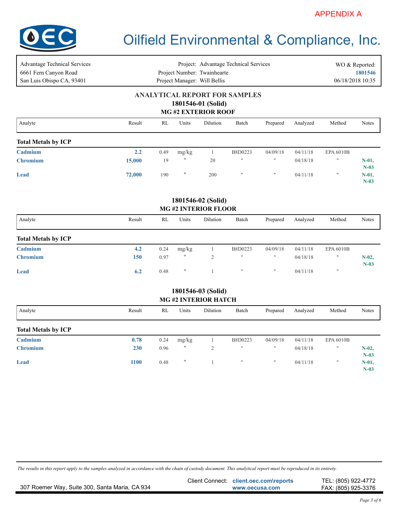

| <b>Advantage Technical Services</b><br>6661 Fern Canyon Road | Project: Advantage Technical Services<br>Project Number: Twainhearte |                              |                    |                                                  |                                      |               |          |                           | WO & Reported:<br>1801546 |  |  |
|--------------------------------------------------------------|----------------------------------------------------------------------|------------------------------|--------------------|--------------------------------------------------|--------------------------------------|---------------|----------|---------------------------|---------------------------|--|--|
| San Luis Obispo CA, 93401                                    |                                                                      | Project Manager: Will Bellis |                    |                                                  |                                      |               |          |                           | 06/18/2018 10:35          |  |  |
|                                                              |                                                                      |                              |                    | 1801546-01 (Solid)<br><b>MG#2 EXTERIOR ROOF</b>  | <b>ANALYTICAL REPORT FOR SAMPLES</b> |               |          |                           |                           |  |  |
| Analyte                                                      | Result                                                               | <b>RL</b>                    | Units              | <b>Dilution</b>                                  | Batch                                | Prepared      | Analyzed | Method                    | Notes                     |  |  |
| <b>Total Metals by ICP</b>                                   |                                                                      |                              |                    |                                                  |                                      |               |          |                           |                           |  |  |
| Cadmium                                                      | 2.2                                                                  | 0.49                         | mg/kg              | $\mathbf{1}$                                     | B8D0223                              | 04/09/18      | 04/11/18 | <b>EPA 6010B</b>          |                           |  |  |
| <b>Chromium</b>                                              | 15,000                                                               | 19                           | $\pmb{\mathsf{H}}$ | 20                                               | $^{\dagger}$                         | $\mathbf{H}$  | 04/18/18 | Ħ                         | $N-01$ ,<br>$N-03$        |  |  |
| Lead                                                         | 72,000                                                               | 190                          | 11                 | 200                                              | $\pmb{\mathfrak{m}}$                 | $\mathbf{H}$  | 04/11/18 | $\mathbf{H}$              | $N-01$ ,<br>$N-03$        |  |  |
|                                                              |                                                                      |                              |                    | 1801546-02 (Solid)<br><b>MG#2 INTERIOR FLOOR</b> |                                      |               |          |                           |                           |  |  |
| Analyte                                                      | Result                                                               | RL                           | Units              | Dilution                                         | Batch                                | Prepared      | Analyzed | Method                    | Notes                     |  |  |
| <b>Total Metals by ICP</b>                                   |                                                                      |                              |                    |                                                  |                                      |               |          |                           |                           |  |  |
| Cadmium                                                      | 4.2                                                                  | 0.24                         | mg/kg              | $\mathbf{1}$                                     | B8D0223                              | 04/09/18      | 04/11/18 | EPA 6010B                 |                           |  |  |
| <b>Chromium</b>                                              | 150                                                                  | 0.97                         | $\pmb{\mathsf{H}}$ | $\sqrt{2}$                                       | $^{\dagger}$                         | $\mathbf{H}$  | 04/18/18 | Ħ                         | $N-02$ ,<br>$N-03$        |  |  |
| Lead                                                         | 6.2                                                                  | 0.48                         | $\pmb{\mathsf{H}}$ | $\mathbf{1}$                                     | $\pmb{\mathfrak{m}}$                 | $\mathfrak n$ | 04/11/18 | $\boldsymbol{\mathsf{H}}$ |                           |  |  |
|                                                              |                                                                      |                              |                    | 1801546-03 (Solid)                               |                                      |               |          |                           |                           |  |  |
|                                                              |                                                                      |                              |                    | <b>MG#2 INTERIOR HATCH</b>                       |                                      |               |          |                           |                           |  |  |
| Analyte                                                      | Result                                                               | RL                           | Units              | Dilution                                         | Batch                                | Prepared      | Analyzed | Method                    | Notes                     |  |  |
| <b>Total Metals by ICP</b>                                   |                                                                      |                              |                    |                                                  |                                      |               |          |                           |                           |  |  |
| Cadmium                                                      | 0.78                                                                 | 0.24                         | mg/kg              | $\mathbf{1}$                                     | B8D0223                              | 04/09/18      | 04/11/18 | EPA 6010B                 |                           |  |  |
| <b>Chromium</b>                                              | 230                                                                  | 0.96                         | $\pmb{\mathsf{H}}$ | $\mathfrak{2}$                                   | $^{\dagger}$                         | $\mathbf{u}$  | 04/18/18 | Ħ                         | $N-02$ ,<br>$N-03$        |  |  |
| <b>Lead</b>                                                  | 1100                                                                 | 0.48                         | 11                 | $\mathbf{1}$                                     | $\pmb{\shortparallel}$               | $\mathbf{u}$  | 04/11/18 | $\mathbf{H}$              | $N-01$ ,<br>$N-03$        |  |  |

|                                                | Client Connect: client.oec.com\reports | TEL: (805) 922-4772 |
|------------------------------------------------|----------------------------------------|---------------------|
| 307 Roemer Way, Suite 300, Santa Maria, CA 934 | www.oecusa.com                         | FAX: (805) 925-3376 |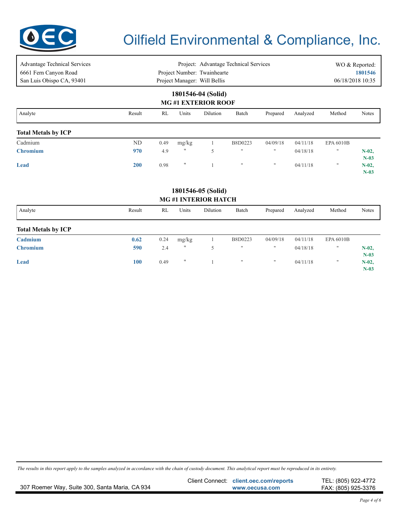

| <b>Advantage Technical Services</b><br>6661 Fern Canyon Road<br>San Luis Obispo CA, 93401 | Project: Advantage Technical Services<br>Project Number: Twainhearte<br>Project Manager: Will Bellis |      |       |                    |                    |              |          | 06/18/2018 10:35  | WO & Reported:<br>1801546 |  |  |  |
|-------------------------------------------------------------------------------------------|------------------------------------------------------------------------------------------------------|------|-------|--------------------|--------------------|--------------|----------|-------------------|---------------------------|--|--|--|
| 1801546-04 (Solid)<br><b>MG#1 EXTERIOR ROOF</b>                                           |                                                                                                      |      |       |                    |                    |              |          |                   |                           |  |  |  |
| Analyte                                                                                   | Result                                                                                               | RL   | Units | Dilution           | Batch              | Prepared     | Analyzed | Method            | Notes                     |  |  |  |
| <b>Total Metals by ICP</b>                                                                |                                                                                                      |      |       |                    |                    |              |          |                   |                           |  |  |  |
| Cadmium                                                                                   | ND                                                                                                   | 0.49 | mg/kg |                    | B8D0223            | 04/09/18     | 04/11/18 | <b>EPA 6010B</b>  |                           |  |  |  |
| <b>Chromium</b>                                                                           | 970                                                                                                  | 4.9  | 11    | 5                  | $^{\dagger}$       | $\mathbf{H}$ | 04/18/18 | $^{\prime\prime}$ | $N-02$<br>$N-03$          |  |  |  |
| <b>Lead</b>                                                                               | <b>200</b>                                                                                           | 0.98 | 11    |                    | $\pmb{\mathsf{H}}$ | $\mathbf{H}$ | 04/11/18 | $\mathbf{H}$      | $N-02$ ,<br>$N-03$        |  |  |  |
|                                                                                           |                                                                                                      |      |       | 1801546-05 (Solid) |                    |              |          |                   |                           |  |  |  |

#### **MG #1 INTERIOR HATCH**

| Analyte                    | Result | RL   | Units             | Dilution | Batch              | Prepared     | Analyzed | Method            | <b>Notes</b>     |
|----------------------------|--------|------|-------------------|----------|--------------------|--------------|----------|-------------------|------------------|
| <b>Total Metals by ICP</b> |        |      |                   |          |                    |              |          |                   |                  |
| Cadmium                    | 0.62   | 0.24 | mg/kg             |          | B8D0223            | 04/09/18     | 04/11/18 | <b>EPA 6010B</b>  |                  |
| <b>Chromium</b>            | 590    | 2.4  | $^{\prime\prime}$ |          | $^{\dagger}$       | $\mathbf{H}$ | 04/18/18 | $\mathbf{H}$      | $N-02$<br>$N-03$ |
| <b>Lead</b>                | 100    | 0.49 | $^{\dagger}$      |          | $\pmb{\mathsf{H}}$ | $\mathbf{H}$ | 04/11/18 | $^{\prime\prime}$ | $N-02$<br>$N-03$ |

|                                                | Client Connect: client.oec.com\reports | TEL: (805) 922-4772 |
|------------------------------------------------|----------------------------------------|---------------------|
| 307 Roemer Way, Suite 300, Santa Maria, CA 934 | www.oecusa.com                         | FAX: (805) 925-3376 |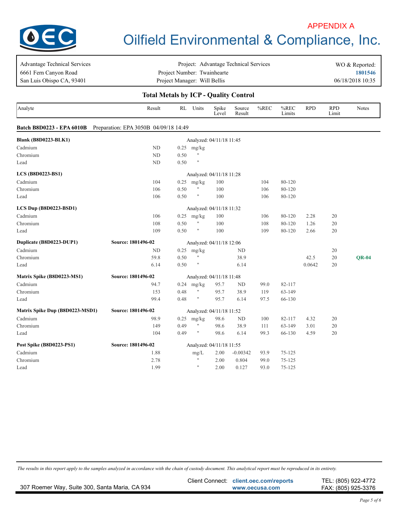

## Oilfield Environmental & Compliance, Inc. APPENDIX A

| <b>Advantage Technical Services</b>          | Project: Advantage Technical Services |      |                      |                          |                  |      |                |            |                     | WO & Reported:   |  |  |
|----------------------------------------------|---------------------------------------|------|----------------------|--------------------------|------------------|------|----------------|------------|---------------------|------------------|--|--|
| 6661 Fern Canyon Road                        | Project Number: Twainhearte           |      |                      |                          |                  |      |                |            |                     | 1801546          |  |  |
| San Luis Obispo CA, 93401                    | Project Manager: Will Bellis          |      |                      |                          |                  |      |                |            |                     | 06/18/2018 10:35 |  |  |
| <b>Total Metals by ICP - Quality Control</b> |                                       |      |                      |                          |                  |      |                |            |                     |                  |  |  |
| Analyte                                      | Result                                |      | RL Units             | Spike<br>Level           | Source<br>Result | %REC | %REC<br>Limits | <b>RPD</b> | <b>RPD</b><br>Limit | Notes            |  |  |
| Batch B8D0223 - EPA 6010B                    | Preparation: EPA 3050B 04/09/18 14:49 |      |                      |                          |                  |      |                |            |                     |                  |  |  |
| <b>Blank (B8D0223-BLK1)</b>                  |                                       |      |                      | Analyzed: 04/11/18 11:45 |                  |      |                |            |                     |                  |  |  |
| Cadmium                                      | ND                                    | 0.25 | mg/kg                |                          |                  |      |                |            |                     |                  |  |  |
| Chromium                                     | ND                                    | 0.50 | Ħ                    |                          |                  |      |                |            |                     |                  |  |  |
| Lead                                         | ND                                    | 0.50 | $\pmb{\pi}$          |                          |                  |      |                |            |                     |                  |  |  |
| <b>LCS</b> (B8D0223-BS1)                     |                                       |      |                      | Analyzed: 04/11/18 11:28 |                  |      |                |            |                     |                  |  |  |
| Cadmium                                      | 104                                   | 0.25 | mg/kg                | 100                      |                  | 104  | 80-120         |            |                     |                  |  |  |
| Chromium                                     | 106                                   | 0.50 | Ħ                    | 100                      |                  | 106  | 80-120         |            |                     |                  |  |  |
| Lead                                         | 106                                   | 0.50 | Ħ                    | 100                      |                  | 106  | 80-120         |            |                     |                  |  |  |
| LCS Dup (B8D0223-BSD1)                       |                                       |      |                      | Analyzed: 04/11/18 11:32 |                  |      |                |            |                     |                  |  |  |
| Cadmium                                      | 106                                   | 0.25 | mg/kg                | 100                      |                  | 106  | 80-120         | 2.28       | 20                  |                  |  |  |
| Chromium                                     | 108                                   | 0.50 | $\pmb{\mathfrak{m}}$ | 100                      |                  | 108  | 80-120         | 1.26       | 20                  |                  |  |  |
| Lead                                         | 109                                   | 0.50 | Ħ                    | 100                      |                  | 109  | 80-120         | 2.66       | 20                  |                  |  |  |
| Duplicate (B8D0223-DUP1)                     | Source: 1801496-02                    |      |                      | Analyzed: 04/11/18 12:06 |                  |      |                |            |                     |                  |  |  |
| Cadmium                                      | ND                                    | 0.25 | mg/kg                |                          | ND               |      |                |            | 20                  |                  |  |  |
| Chromium                                     | 59.8                                  | 0.50 | $\mathsf{H}$         |                          | 38.9             |      |                | 42.5       | 20                  | <b>OR-04</b>     |  |  |
| Lead                                         | 6.14                                  | 0.50 | Ħ                    |                          | 6.14             |      |                | 0.0642     | 20                  |                  |  |  |
| Matrix Spike (B8D0223-MS1)                   | Source: 1801496-02                    |      |                      | Analyzed: 04/11/18 11:48 |                  |      |                |            |                     |                  |  |  |
| Cadmium                                      | 94.7                                  | 0.24 | mg/kg                | 95.7                     | ND               | 99.0 | 82-117         |            |                     |                  |  |  |
| Chromium                                     | 153                                   | 0.48 | $\mathbf{H}$         | 95.7                     | 38.9             | 119  | 63-149         |            |                     |                  |  |  |
| Lead                                         | 99.4                                  | 0.48 | $\mathbf{H}$         | 95.7                     | 6.14             | 97.5 | 66-130         |            |                     |                  |  |  |
| Matrix Spike Dup (B8D0223-MSD1)              | Source: 1801496-02                    |      |                      | Analyzed: 04/11/18 11:52 |                  |      |                |            |                     |                  |  |  |
| Cadmium                                      | 98.9                                  | 0.25 | mg/kg                | 98.6                     | ND               | 100  | 82-117         | 4.32       | 20                  |                  |  |  |
| Chromium                                     | 149                                   | 0.49 | $\pmb{\mathfrak{m}}$ | 98.6                     | 38.9             | 111  | 63-149         | 3.01       | 20                  |                  |  |  |
| Lead                                         | 104                                   | 0.49 | $\mathbf{H}$         | 98.6                     | 6.14             | 99.3 | 66-130         | 4.59       | 20                  |                  |  |  |
| Post Spike (B8D0223-PS1)                     | Source: 1801496-02                    |      |                      | Analyzed: 04/11/18 11:55 |                  |      |                |            |                     |                  |  |  |
| Cadmium                                      | 1.88                                  |      | $mg/L$               | 2.00                     | $-0.00342$       | 93.9 | $75 - 125$     |            |                     |                  |  |  |
| Chromium                                     | 2.78                                  |      | Ħ                    | 2.00                     | 0.804            | 99.0 | $75 - 125$     |            |                     |                  |  |  |
| Lead                                         | 1.99                                  |      | $\pmb{\mathfrak{m}}$ | 2.00                     | 0.127            | 93.0 | $75 - 125$     |            |                     |                  |  |  |
|                                              |                                       |      |                      |                          |                  |      |                |            |                     |                  |  |  |

|                                                | Client Connect: client.oec.com\reports | TEL: (805) 922-4772 |
|------------------------------------------------|----------------------------------------|---------------------|
| 307 Roemer Way, Suite 300, Santa Maria, CA 934 | www.oecusa.com                         | FAX: (805) 925-3376 |
|                                                |                                        |                     |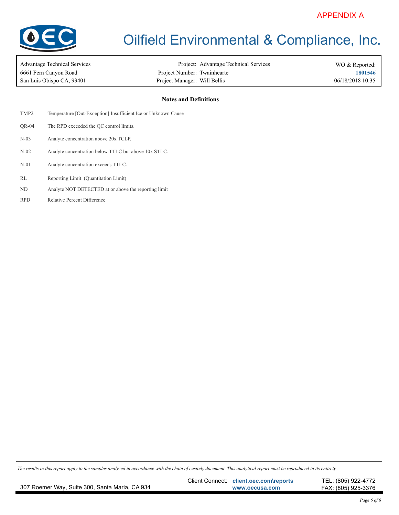

| Advantage Technical Services | Project: Advantage 7         |  |
|------------------------------|------------------------------|--|
| 6661 Fern Canyon Road        | Project Number: Twainhearte  |  |
| San Luis Obispo CA. 93401    | Project Manager: Will Bellis |  |

Project: Advantage Technical Services San Luis Obispo CA, 93401 **1201 10:35** Project Manager: Will Bellis **Canadiates** 66/18/2018 10:35

**1801546** WO & Reported:

#### **Notes and Definitions**

| TMP <sub>2</sub> | Temperature [Out-Exception] Insufficient Ice or Unknown Cause |
|------------------|---------------------------------------------------------------|
| OR-04            | The RPD exceeded the QC control limits.                       |
| $N-03$           | Analyte concentration above 20x TCLP.                         |
| $N-02$           | Analyte concentration below TTLC but above 10x STLC.          |
| $N-01$           | Analyte concentration exceeds TTLC.                           |
| RL               | Reporting Limit (Quantitation Limit)                          |
| ND.              | Analyte NOT DETECTED at or above the reporting limit          |
| <b>RPD</b>       | <b>Relative Percent Difference</b>                            |
|                  |                                                               |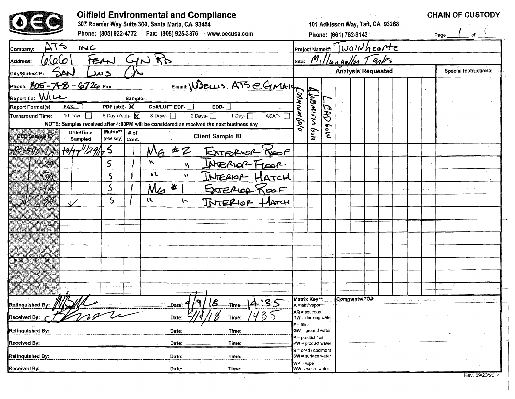|                                                 | <b>Oilfield Environmental and Compliance</b><br>307 Roemer Way Suite 300, Santa Maria, CA 93454<br>Phone: (805) 922-4772    Fax: (805) 925-3376<br>www.oecusa.com |                               |                 |          |                                                                                          |                                               | 101 Adkisson Way, Taft, CA 93268<br>Phone: (661) 762-9143<br>$ _{\text{Project Name/H:}}$ $\sqrt{\omega q} \, \mathcal{W} \, h \, \epsilon \, a \, \mathcal{H} \, \epsilon$ |   |  |                                    |  |  |  | <b>CHAIN OF CUSTODY</b><br>of<br>Page |  |  |                              |  |  |
|-------------------------------------------------|-------------------------------------------------------------------------------------------------------------------------------------------------------------------|-------------------------------|-----------------|----------|------------------------------------------------------------------------------------------|-----------------------------------------------|-----------------------------------------------------------------------------------------------------------------------------------------------------------------------------|---|--|------------------------------------|--|--|--|---------------------------------------|--|--|------------------------------|--|--|
| $\Delta$ T<br>$\sim$<br>Company:                | INC                                                                                                                                                               |                               |                 |          |                                                                                          |                                               |                                                                                                                                                                             |   |  |                                    |  |  |  |                                       |  |  |                              |  |  |
| 0.000<br>Address:                               | FERN                                                                                                                                                              |                               | GNR             |          |                                                                                          |                                               |                                                                                                                                                                             |   |  | site: $M_1$ //10 A Gallon $T$ anks |  |  |  |                                       |  |  |                              |  |  |
| SAN<br>City/State/ZIP:                          | 5 سد                                                                                                                                                              | $\mathcal{N}_{\bullet}$       |                 |          |                                                                                          |                                               |                                                                                                                                                                             |   |  | <b>Analysis Requested</b>          |  |  |  |                                       |  |  | <b>Special Instructions:</b> |  |  |
| Phone: 805-748-6726 Fax:                        |                                                                                                                                                                   |                               |                 |          | $EMail: W3ELL 3. ATS CGMAIEDD-1EDD-1ASAPL$                                               |                                               |                                                                                                                                                                             |   |  |                                    |  |  |  |                                       |  |  |                              |  |  |
| Report To: W1LL<br>$FAX -$<br>Report Format(s): |                                                                                                                                                                   | Sampler:<br>PDF (std)- $\chi$ | Colt/LUFT EDF-  |          |                                                                                          |                                               |                                                                                                                                                                             |   |  |                                    |  |  |  |                                       |  |  |                              |  |  |
| <b>Turnaround Time:</b>                         | 10 Days- $\Box$                                                                                                                                                   | 5 Days (std)-                 | 3 Days- $\Box$  |          | NOTE: Samples received after 4:00PM will be considered as received the next business day |                                               |                                                                                                                                                                             |   |  |                                    |  |  |  |                                       |  |  |                              |  |  |
| OEC Sample ID                                   | Matrix**<br>Date/Time<br>Sampled                                                                                                                                  | # of<br>(see key)   Cont.     |                 |          | <b>Client Sample ID</b>                                                                  |                                               | 61pl                                                                                                                                                                        | ٤ |  |                                    |  |  |  |                                       |  |  |                              |  |  |
| VO 1546-1A                                      | 1011/2965                                                                                                                                                         |                               | $N_{G}$         | $\ast z$ | EXTERIOR KOOP                                                                            |                                               |                                                                                                                                                                             |   |  |                                    |  |  |  |                                       |  |  |                              |  |  |
| A.                                              | S                                                                                                                                                                 |                               | N               | N        |                                                                                          |                                               |                                                                                                                                                                             |   |  |                                    |  |  |  |                                       |  |  |                              |  |  |
| 3A                                              | S                                                                                                                                                                 |                               | ŧL              | W        | INTERIOR HATCH                                                                           |                                               |                                                                                                                                                                             |   |  |                                    |  |  |  |                                       |  |  |                              |  |  |
| ЧA                                              | S                                                                                                                                                                 |                               | Me <sup>4</sup> |          | EXTERIOR ROOF                                                                            |                                               |                                                                                                                                                                             |   |  |                                    |  |  |  |                                       |  |  |                              |  |  |
| 58                                              | $\mathsf{S}$                                                                                                                                                      |                               | u               | $\sim$   | INTERIOR HATCH                                                                           |                                               |                                                                                                                                                                             |   |  |                                    |  |  |  |                                       |  |  |                              |  |  |
|                                                 |                                                                                                                                                                   |                               |                 |          |                                                                                          |                                               |                                                                                                                                                                             |   |  |                                    |  |  |  |                                       |  |  |                              |  |  |
|                                                 |                                                                                                                                                                   |                               |                 |          |                                                                                          |                                               |                                                                                                                                                                             |   |  |                                    |  |  |  |                                       |  |  |                              |  |  |
|                                                 |                                                                                                                                                                   |                               |                 |          |                                                                                          |                                               |                                                                                                                                                                             |   |  |                                    |  |  |  |                                       |  |  |                              |  |  |
|                                                 |                                                                                                                                                                   |                               |                 |          |                                                                                          |                                               |                                                                                                                                                                             |   |  |                                    |  |  |  |                                       |  |  |                              |  |  |
|                                                 |                                                                                                                                                                   |                               |                 |          |                                                                                          |                                               |                                                                                                                                                                             |   |  |                                    |  |  |  |                                       |  |  |                              |  |  |
|                                                 |                                                                                                                                                                   |                               |                 |          |                                                                                          |                                               |                                                                                                                                                                             |   |  |                                    |  |  |  |                                       |  |  |                              |  |  |
|                                                 |                                                                                                                                                                   |                               |                 |          |                                                                                          |                                               |                                                                                                                                                                             |   |  |                                    |  |  |  |                                       |  |  |                              |  |  |
| M I IL                                          | 111                                                                                                                                                               |                               |                 |          | $\mathbf{r}$<br>$\mathbf{1}$ $\mathbf{0}$<br>16                                          | Matrix Key**:                                 |                                                                                                                                                                             |   |  | Comments/PO#:                      |  |  |  |                                       |  |  |                              |  |  |
| Relinquished By: //<br>Received By:             |                                                                                                                                                                   |                               | Date:<br>Date:  |          | -Time:-<br>$\ddot{\partial}$<br>Time:                                                    |                                               | A = air/vapor<br>$AQ = aqueous$<br>$DW =$ drinking water                                                                                                                    |   |  |                                    |  |  |  |                                       |  |  |                              |  |  |
| Relinquished By:                                |                                                                                                                                                                   |                               | Date:           |          | Time:                                                                                    | $F = filter$                                  | $GW =$ ground water                                                                                                                                                         |   |  |                                    |  |  |  |                                       |  |  |                              |  |  |
| <b>Received By:</b>                             |                                                                                                                                                                   |                               | Date:           |          | Time:                                                                                    |                                               | $P = product / oil$<br>$PW =$ product water                                                                                                                                 |   |  |                                    |  |  |  |                                       |  |  |                              |  |  |
| Relinquished By:                                |                                                                                                                                                                   |                               | Date:           |          | Time:                                                                                    |                                               | $s = solid / sediment$<br>SW = surface water                                                                                                                                |   |  |                                    |  |  |  |                                       |  |  |                              |  |  |
| Received By:                                    |                                                                                                                                                                   |                               | Date:           |          | Time:                                                                                    | $WP = \text{wipe}$<br><b>WW</b> = waste water |                                                                                                                                                                             |   |  |                                    |  |  |  |                                       |  |  |                              |  |  |